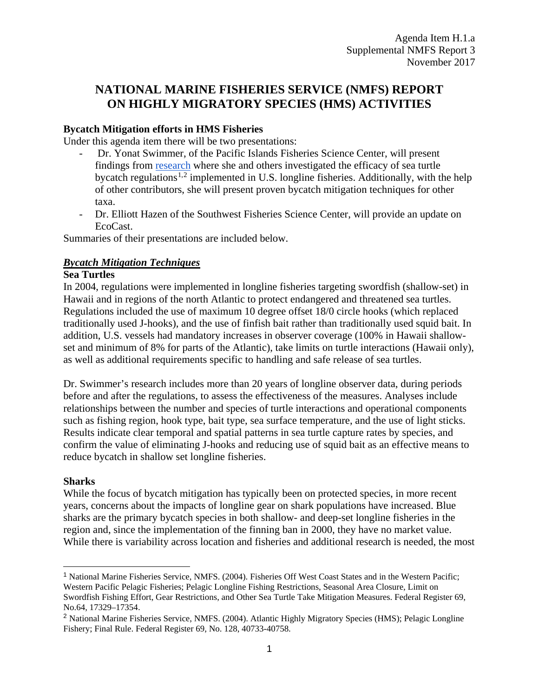# **NATIONAL MARINE FISHERIES SERVICE (NMFS) REPORT ON HIGHLY MIGRATORY SPECIES (HMS) ACTIVITIES**

## **Bycatch Mitigation efforts in HMS Fisheries**

Under this agenda item there will be two presentations:

- Dr. Yonat Swimmer, of the Pacific Islands Fisheries Science Center, will present findings from [research](https://www.frontiersin.org/articles/10.3389/fmars.2017.00260/full) where she and others investigated the efficacy of sea turtle bycatch regulations<sup>[1](#page-0-0),[2](#page-0-1)</sup> implemented in U.S. longline fisheries. Additionally, with the help of other contributors, she will present proven bycatch mitigation techniques for other taxa.
- Dr. Elliott Hazen of the Southwest Fisheries Science Center, will provide an update on EcoCast.

Summaries of their presentations are included below.

## *Bycatch Mitigation Techniques*

#### **Sea Turtles**

In 2004, regulations were implemented in longline fisheries targeting swordfish (shallow-set) in Hawaii and in regions of the north Atlantic to protect endangered and threatened sea turtles. Regulations included the use of maximum 10 degree offset 18/0 circle hooks (which replaced traditionally used J-hooks), and the use of finfish bait rather than traditionally used squid bait. In addition, U.S. vessels had mandatory increases in observer coverage (100% in Hawaii shallowset and minimum of 8% for parts of the Atlantic), take limits on turtle interactions (Hawaii only), as well as additional requirements specific to handling and safe release of sea turtles.

Dr. Swimmer's research includes more than 20 years of longline observer data, during periods before and after the regulations, to assess the effectiveness of the measures. Analyses include relationships between the number and species of turtle interactions and operational components such as fishing region, hook type, bait type, sea surface temperature, and the use of light sticks. Results indicate clear temporal and spatial patterns in sea turtle capture rates by species, and confirm the value of eliminating J-hooks and reducing use of squid bait as an effective means to reduce bycatch in shallow set longline fisheries.

## **Sharks**

While the focus of bycatch mitigation has typically been on protected species, in more recent years, concerns about the impacts of longline gear on shark populations have increased. Blue sharks are the primary bycatch species in both shallow- and deep-set longline fisheries in the region and, since the implementation of the finning ban in 2000, they have no market value. While there is variability across location and fisheries and additional research is needed, the most

<span id="page-0-0"></span> <sup>1</sup> National Marine Fisheries Service, NMFS. (2004). Fisheries Off West Coast States and in the Western Pacific; Western Pacific Pelagic Fisheries; Pelagic Longline Fishing Restrictions, Seasonal Area Closure, Limit on Swordfish Fishing Effort, Gear Restrictions, and Other Sea Turtle Take Mitigation Measures. Federal Register 69, No.64, 17329–17354.

<span id="page-0-1"></span><sup>2</sup> National Marine Fisheries Service, NMFS. (2004). Atlantic Highly Migratory Species (HMS); Pelagic Longline Fishery; Final Rule. Federal Register 69, No. 128, 40733-40758.